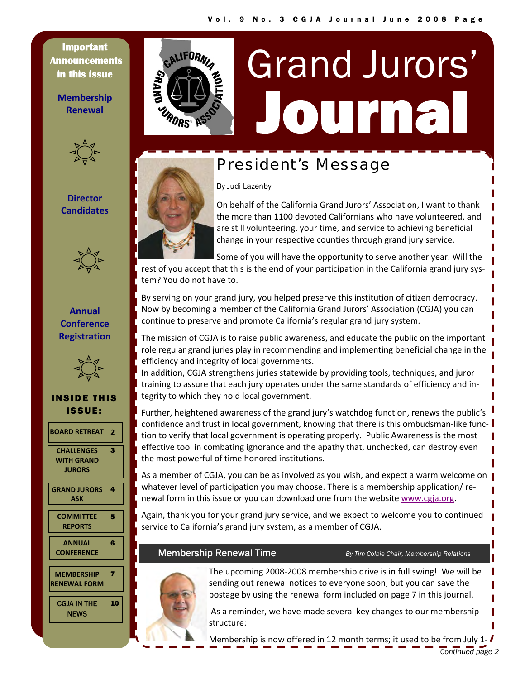**Important Announcements in this issue** 

**Membership Renewal**



## **Director Candidates**



## **Annual Conference Registration**



## INSIDE THIS ISSUE:

- **BOARD [RETREAT](#page-1-0) 2**
- **[CHALLENGES](#page-1-0) WITH GRAND JURORS**

3

6

7

- **GRAND [JURORS](#page-3-0)** 4 **ASK**
- **[COMMITTEE](#page-4-0) REPORTS** 5
- **ANNUAL [CONFERENCE](#page-5-0)**
- **[MEMBERSHIP](#page-6-0) RENEWAL FORM**

[CGJA IN THE](#page-9-0)  **NEWS** 10



# Journal Grand Jurors'

# President's Message

By Judi Lazenby



On behalf of the California Grand Jurors' Association, I want to thank the more than 1100 devoted Californians who have volunteered, and are still volunteering, your time, and service to achieving beneficial change in your respective counties through grand jury service.

Some of you will have the opportunity to serve another year. Will the rest of you accept that this is the end of your participation in the California grand jury system? You do not have to.

By serving on your grand jury, you helped preserve this institution of citizen democracy. Now by becoming a member of the California Grand Jurors' Association (CGJA) you can continue to preserve and promote California's regular grand jury system.

The mission of CGJA is to raise public awareness, and educate the public on the important role regular grand juries play in recommending and implementing beneficial change in the efficiency and integrity of local governments.

In addition, CGJA strengthens juries statewide by providing tools, techniques, and juror training to assure that each jury operates under the same standards of efficiency and in‐ tegrity to which they hold local government.

Further, heightened awareness of the grand jury's watchdog function, renews the public's confidence and trust in local government, knowing that there is this ombudsman-like function to verify that local government is operating properly. Public Awareness is the most effective tool in combating ignorance and the apathy that, unchecked, can destroy even the most powerful of time honored institutions.

As a member of CGJA, you can be as involved as you wish, and expect a warm welcome on whatever level of participation you may choose. There is a membership application/renewal form in this issue or you can download one from the website www.cgja.org.

Again, thank you for your grand jury service, and we expect to welcome you to continued service to California's grand jury system, as a member of CGJA.

## **Membership Renewal Time** *By Tim Colbie Chair, Membership Relations*



The upcoming 2008‐2008 membership drive is in full swing! We will be sending out renewal notices to everyone soon, but you can save the postage by using the renewal form included on page 7 in this journal.

As a reminder, we have made several key changes to our membership structure:

Membership is now offered in 12 month terms; it used to be from July 1- $\bm{l}$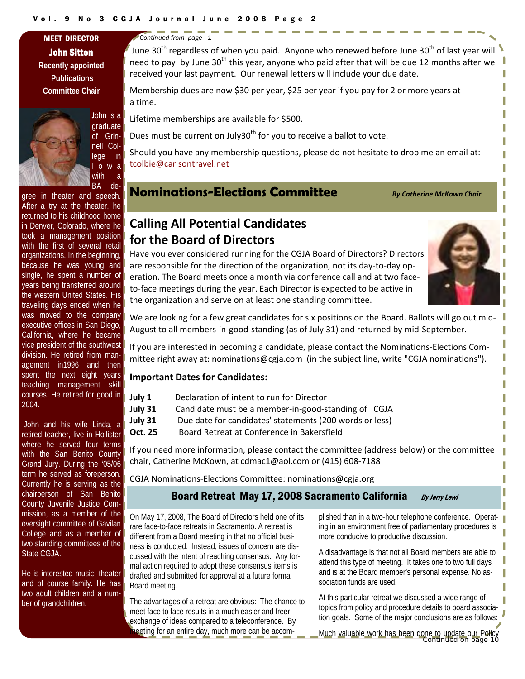John Sitton **Recently appointed Publications Committee Chair** 





with a

BA degree in theater and speech. After a try at the theater, he returned to his childhood home in Denver, Colorado, where he took a management position with the first of several retail organizations. In the beginning, because he was young and single, he spent a number of years being transferred around the western United States. His traveling days ended when he was moved to the company executive offices in San Diego, California, where he became vice president of the southwest division. He retired from management in1996 and then spent the next eight years teaching management skill courses. He retired for good in 2004.

 John and his wife Linda, a retired teacher, live in Hollister where he served four terms with the San Benito County Grand Jury. During the '05/06 term he served as foreperson. Currently he is serving as the chairperson of San Benito County Juvenile Justice Commission, as a member of the oversight committee of Gavilan College and as a member of two standing committees of the State CGJA.

He is interested music, theater and of course family. He has two adult children and a number of grandchildren.

<span id="page-1-0"></span>MEET DIRECTOR *Continued from page 1* 

June 30<sup>th</sup> regardless of when you paid. Anyone who renewed before June 30<sup>th</sup> of last year will need to pay by June 30<sup>th</sup> this year, anyone who paid after that will be due 12 months after we received your last payment. Our renewal letters will include your due date.

Membership dues are now \$30 per year, \$25 per year if you pay for 2 or more years at <sup>a</sup> time.

Lifetime memberships are available for \$500.

Dues must be current on July30<sup>th</sup> for you to receive a ballot to vote.

Should you have any membership questions, please do not hesitate to drop me an email at: tcolbie@carlsontravel.net

**Nominations-Elections Committee** *By Catherine McKown Chair*

## **Calling All Potential Candidates for the Board of Directors**

Have you ever considered running for the CGJA Board of Directors? Directors are responsible for the direction of the organization, not its day-to-day operation. The Board meets once a month via conference call and at two face‐ to-face meetings during the year. Each Director is expected to be active in the organization and serve on at least one standing committee.



We are looking for a few great candidates for six positions on the Board. Ballots will go out mid-August to all members‐in‐good‐standing (as of July 31) and returned by mid‐September.

If you are interested in becoming a candidate, please contact the Nominations‐Elections Com‐ mittee right away at: nominations@cgja.com (in the subject line, write "CGJA nominations").

#### **Important Dates for Candidates:**

- **July 31** Candidate must be a member‐in‐good‐standing of CGJA
- **July 31** Due date for candidates' statements (200 words or less)
- **Oct. 25** Board Retreat at Conference in Bakersfield

If you need more information, please contact the committee (address below) or the committee chair, Catherine McKown, at cdmac1@aol.com or (415) 608‐7188

CGJA Nominations‐Elections Committee: nominations@cgja.org

## Board Retreat May 17, 2008 Sacramento California By Jerry Lewi

On May 17, 2008, The Board of Directors held one of its rare face-to-face retreats in Sacramento. A retreat is different from a Board meeting in that no official business is conducted. Instead, issues of concern are discussed with the intent of reaching consensus. Any formal action required to adopt these consensus items is drafted and submitted for approval at a future formal Board meeting.

The advantages of a retreat are obvious: The chance to meet face to face results in a much easier and freer exchange of ideas compared to a teleconference. By meeting for an entire day, much more can be accomplished than in a two-hour telephone conference. Operating in an environment free of parliamentary procedures is more conducive to productive discussion.

A disadvantage is that not all Board members are able to attend this type of meeting. It takes one to two full days and is at the Board member's personal expense. No association funds are used.

At this particular retreat we discussed a wide range of topics from policy and procedure details to board association goals. Some of the major conclusions are as follows:

*Continued on page 10*  Much valuable work has been done to update our Policy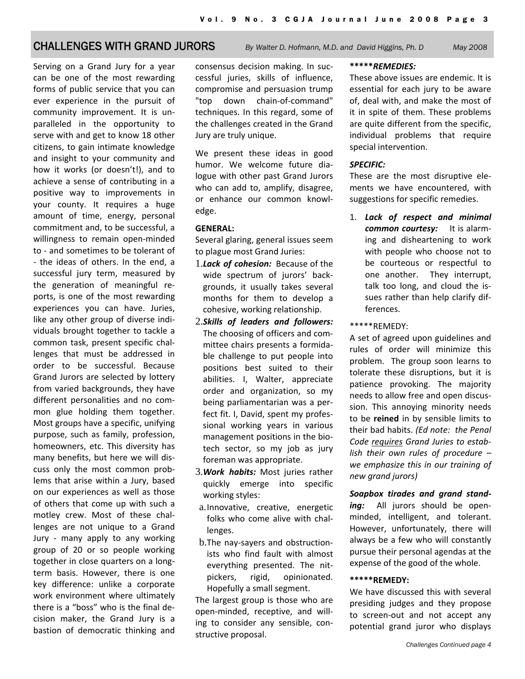## CHALLENGES WITH GRAND JURORS *By Walter D. Hofmann, M.D. and David Higgins, Ph. D May 2008*

Serving on a Grand Jury for a year can be one of the most rewarding forms of public service that you can ever experience in the pursuit of community improvement. It is un‐ paralleled in the opportunity to serve with and get to know 18 other citizens, to gain intimate knowledge and insight to your community and how it works (or doesn't!), and to achieve a sense of contributing in a positive way to improvements in your county. It requires a huge amount of time, energy, personal commitment and, to be successful, a willingness to remain open-minded to ‐ and sometimes to be tolerant of ‐ the ideas of others. In the end, a successful jury term, measured by the generation of meaningful re‐ ports, is one of the most rewarding experiences you can have. Juries, like any other group of diverse indi‐ viduals brought together to tackle a common task, present specific chal‐ lenges that must be addressed in order to be successful. Because Grand Jurors are selected by lottery from varied backgrounds, they have different personalities and no com‐ mon glue holding them together. Most groups have a specific, unifying purpose, such as family, profession, homeowners, etc. This diversity has many benefits, but here we will dis‐ cuss only the most common prob‐ lems that arise within a Jury, based on our experiences as well as those of others that come up with such a motley crew. Most of these chal‐ lenges are not unique to a Grand Jury - many apply to any working group of 20 or so people working together in close quarters on a long‐ term basis. However, there is one key difference: unlike a corporate work environment where ultimately there is a "boss" who is the final de‐ cision maker, the Grand Jury is a bastion of democratic thinking and

consensus decision making. In suc‐ cessful juries, skills of influence, compromise and persuasion trump "top down chain‐of‐command" techniques. In this regard, some of the challenges created in the Grand Jury are truly unique.

We present these ideas in good humor. We welcome future dia‐ logue with other past Grand Jurors who can add to, amplify, disagree, or enhance our common knowl‐ edge.

#### **GENERAL:**

Several glaring, general issues seem to plague most Grand Juries:

- 1.*Lack of cohesion:* Because of the wide spectrum of jurors' back‐ grounds, it usually takes several months for them to develop a cohesive, working relationship.
- 2.*Skills of leaders and followers:* The choosing of officers and com‐ mittee chairs presents a formida‐ ble challenge to put people into positions best suited to their abilities. I, Walter, appreciate order and organization, so my being parliamentarian was a per‐ fect fit. I, David, spent my profes‐ sional working years in various management positions in the bio‐ tech sector, so my job as jury foreman was appropriate.
- 3.*Work habits:* Most juries rather quickly emerge into specific working styles:
- a. Innovative, creative, energetic folks who come alive with chal‐ lenges.
- b.The nay‐sayers and obstruction‐ ists who find fault with almost everything presented. The nit‐ pickers, rigid, opinionated. Hopefully a small segment.

The largest group is those who are open‐minded, receptive, and will‐ ing to consider any sensible, con‐ structive proposal.

#### **\*\*\*\*\****REMEDIES:*

These above issues are endemic. It is essential for each jury to be aware of, deal with, and make the most of it in spite of them. These problems are quite different from the specific, individual problems that require special intervention.

#### *SPECIFIC:*

These are the most disruptive ele‐ ments we have encountered, with suggestions for specific remedies.

1. *Lack of respect and minimal common courtesy:* It is alarm‐ ing and disheartening to work with people who choose not to be courteous or respectful to one another. They interrupt, talk too long, and cloud the is‐ sues rather than help clarify dif‐ ferences.

#### \*\*\*\*\*REMEDY:

A set of agreed upon guidelines and rules of order will minimize this problem. The group soon learns to tolerate these disruptions, but it is patience provoking. The majority needs to allow free and open discus‐ sion. This annoying minority needs to be **reined** in by sensible limits to their bad habits. *(Ed note: the Penal Code requires Grand Juries to estab‐ lish their own rules of procedure – we emphasize this in our training of new grand jurors)*

*Soapbox tirades and grand stand‐* ing: All jurors should be openminded, intelligent, and tolerant. However, unfortunately, there will always be a few who will constantly pursue their personal agendas at the expense of the good of the whole.

#### **\*\*\*\*\*REMEDY:**

We have discussed this with several presiding judges and they propose to screen‐out and not accept any potential grand juror who displays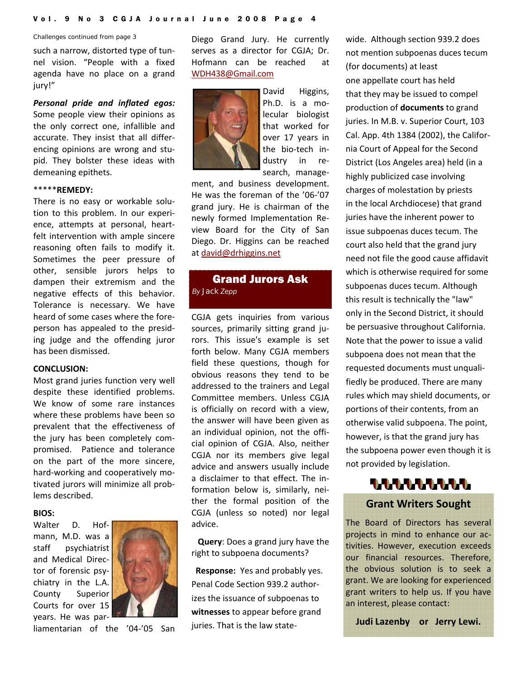#### <span id="page-3-0"></span>*Challenges continued from page 3*

such a narrow, distorted type of tun‐ nel vision. "People with a fixed agenda have no place on a grand jury!"

*Personal pride and inflated egos:* Some people view their opinions as the only correct one, infallible and accurate. They insist that all differ‐ encing opinions are wrong and stu‐ pid. They bolster these ideas with demeaning epithets.

#### \*\*\*\*\***REMEDY:**

There is no easy or workable solu‐ tion to this problem. In our experi‐ ence, attempts at personal, heart‐ felt intervention with ample sincere reasoning often fails to modify it. Sometimes the peer pressure of other, sensible jurors helps to dampen their extremism and the negative effects of this behavior. Tolerance is necessary. We have heard of some cases where the fore‐ person has appealed to the presid‐ ing judge and the offending juror has been dismissed.

#### **CONCLUSION:**

Most grand juries function very well despite these identified problems. We know of some rare instances where these problems have been so prevalent that the effectiveness of the jury has been completely com‐ promised. Patience and tolerance on the part of the more sincere, hard‐working and cooperatively mo‐ tivated jurors will minimize all prob‐ lems described.

#### **BIOS:**

Walter D. Hofmann, M.D. was a staff psychiatrist and Medical Direc‐ tor of forensic psy‐ chiatry in the L.A. County Superior Courts for over 15 years. He was par‐



liamentarian of the '04‐'05 San

Diego Grand Jury. He currently serves as a director for CGJA; Dr. Hofmann can be reached at WDH438@Gmail.com



David Higgins, Ph.D. is a mo‐ lecular biologist that worked for over 17 years in the bio‐tech in‐ dustry in re‐ search, manage‐

ment, and business development. He was the foreman of the '06‐'07 grand jury. He is chairman of the newly formed Implementation Re‐ view Board for the City of San Diego. Dr. Higgins can be reached at david@drhiggins.net

## Grand Jurors Ask *By Jack Zepp*

CGJA gets inquiries from various sources, primarily sitting grand ju‐ rors. This issue's example is set forth below. Many CGJA members field these questions, though for obvious reasons they tend to be addressed to the trainers and Legal Committee members. Unless CGJA is officially on record with a view, the answer will have been given as an individual opinion, not the offi‐ cial opinion of CGJA. Also, neither CGJA nor its members give legal advice and answers usually include a disclaimer to that effect. The in‐ formation below is, similarly, nei‐ ther the formal position of the CGJA (unless so noted) nor legal advice.

 **Query**: Does a grand jury have the right to subpoena documents?

**Response:** Yes and probably yes. Penal Code Section 939.2 author‐ izes the issuance of subpoenas to **witnesses** to appear before grand juries. That is the law state‐

wide. Although section 939.2 does not mention subpoenas duces tecum (for documents) at least one appellate court has held that they may be issued to compel production of **documents** to grand juries. In M.B. v. Superior Court, 103 Cal. App. 4th 1384 (2002), the Califor‐ nia Court of Appeal for the Second District (Los Angeles area) held (in a highly publicized case involving charges of molestation by priests in the local Archdiocese) that grand juries have the inherent power to issue subpoenas duces tecum. The court also held that the grand jury need not file the good cause affidavit which is otherwise required for some subpoenas duces tecum. Although this result is technically the "law" only in the Second District, it should be persuasive throughout California. Note that the power to issue a valid subpoena does not mean that the requested documents must unquali‐ fiedly be produced. There are many rules which may shield documents, or portions of their contents, from an otherwise valid subpoena. The point, however, is that the grand jury has the subpoena power even though it is not provided by legislation.



### **Grant Writers Sought**

The Board of Directors has several projects in mind to enhance our activities. However, execution exceeds our financial resources. Therefore, the obvious solution is to seek a grant. We are looking for experienced grant writers to help us. If you have an interest, please contact:

**Judi Lazenby or Jerry Lewi.**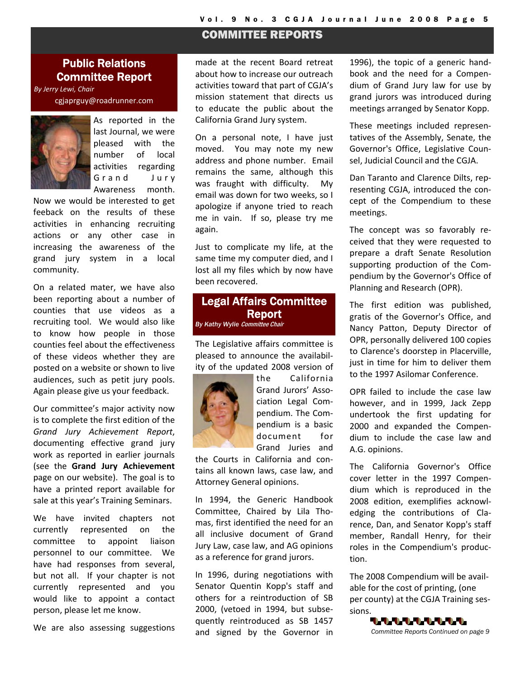## COMMITTEE REPORTS

## <span id="page-4-0"></span>Public Relations Committee Report

*By Jerry Lewi, Chair* cgjaprguy@roadrunner.com



As reported in the last Journal, we were pleased with the number of local activities regarding Grand Jury Awareness month.

Now we would be interested to get feeback on the results of these activities in enhancing recruiting actions or any other case in increasing the awareness of the grand jury system in a local community.

On a related mater, we have also been reporting about a number of counties that use videos as a recruiting tool. We would also like to know how people in those counties feel about the effectiveness of these videos whether they are posted on a website or shown to live audiences, such as petit jury pools. Again please give us your feedback.

Our committee's major activity now is to complete the first edition of the *Grand Jury Achievement Report*, documenting effective grand jury work as reported in earlier journals (see the **Grand Jury Achievement** page on our website). The goal is to have a printed report available for sale at this year's Training Seminars.

We have invited chapters not currently represented on the committee to appoint liaison personnel to our committee. We have had responses from several, but not all. If your chapter is not currently represented and you would like to appoint a contact person, please let me know.

We are also assessing suggestions

made at the recent Board retreat about how to increase our outreach activities toward that part of CGJA's mission statement that directs us to educate the public about the California Grand Jury system.

On a personal note, I have just moved. You may note my new address and phone number. Email remains the same, although this was fraught with difficulty. My email was down for two weeks, so I apologize if anyone tried to reach me in vain. If so, please try me again.

Just to complicate my life, at the same time my computer died, and I lost all my files which by now have been recovered.

### Legal Affairs Committee Report **By Kathy Wylie Committee Chair**

The Legislative affairs committee is pleased to announce the availabil‐ ity of the updated 2008 version of



the California Grand Jurors' Asso‐ ciation Legal Com‐ pendium. The Com‐ pendium is a basic document for Grand Juries and

the Courts in California and con‐ tains all known laws, case law, and Attorney General opinions.

In 1994, the Generic Handbook Committee, Chaired by Lila Tho‐ mas, first identified the need for an all inclusive document of Grand Jury Law, case law, and AG opinions as a reference for grand jurors.

In 1996, during negotiations with Senator Quentin Kopp's staff and others for a reintroduction of SB 2000, (vetoed in 1994, but subse‐ quently reintroduced as SB 1457 and signed by the Governor in

1996), the topic of a generic hand‐ book and the need for a Compen‐ dium of Grand Jury law for use by grand jurors was introduced during meetings arranged by Senator Kopp.

These meetings included represen‐ tatives of the Assembly, Senate, the Governor's Office, Legislative Coun‐ sel, Judicial Council and the CGJA.

Dan Taranto and Clarence Dilts, rep‐ resenting CGJA, introduced the con‐ cept of the Compendium to these meetings.

The concept was so favorably re‐ ceived that they were requested to prepare a draft Senate Resolution supporting production of the Com‐ pendium by the Governor's Office of Planning and Research (OPR).

The first edition was published, gratis of the Governor's Office, and Nancy Patton, Deputy Director of OPR, personally delivered 100 copies to Clarence's doorstep in Placerville, just in time for him to deliver them to the 1997 Asilomar Conference.

OPR failed to include the case law however, and in 1999, Jack Zepp undertook the first updating for 2000 and expanded the Compen‐ dium to include the case law and A.G. opinions.

The California Governor's Office cover letter in the 1997 Compen‐ dium which is reproduced in the 2008 edition, exemplifies acknowl‐ edging the contributions of Cla‐ rence, Dan, and Senator Kopp's staff member, Randall Henry, for their roles in the Compendium's produc‐ tion.

The 2008 Compendium will be avail‐ able for the cost of printing, (one per county) at the CGJA Training ses‐ sions.

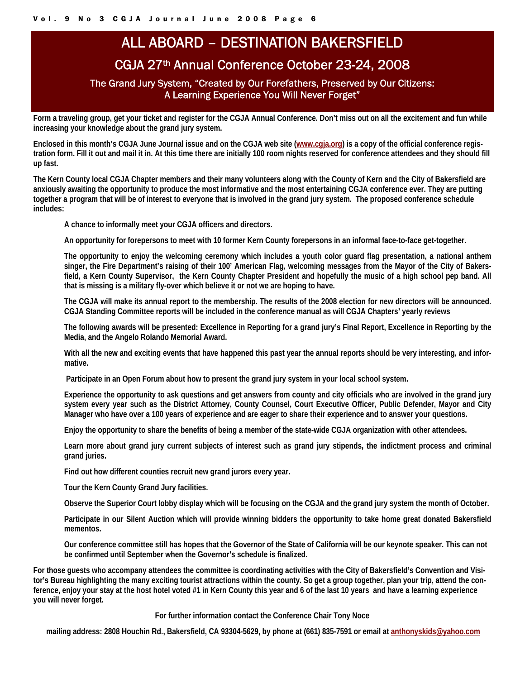# ALL ABOARD – DESTINATION BAKERSFIELD

## CGJA 27th Annual Conference October 23-24, 2008

## The Grand Jury System, "Created by Our Forefathers, Preserved by Our Citizens: A Learning Experience You Will Never Forget"

<span id="page-5-0"></span>**Form a traveling group, get your ticket and register for the CGJA Annual Conference. Don't miss out on all the excitement and fun while increasing your knowledge about the grand jury system.** 

**Enclosed in this month's CGJA June Journal issue and on the CGJA web site (www.cgja.org) is a copy of the official conference registration form. Fill it out and mail it in. At this time there are initially 100 room nights reserved for conference attendees and they should fill up fast.** 

**The Kern County local CGJA Chapter members and their many volunteers along with the County of Kern and the City of Bakersfield are anxiously awaiting the opportunity to produce the most informative and the most entertaining CGJA conference ever. They are putting together a program that will be of interest to everyone that is involved in the grand jury system. The proposed conference schedule includes:** 

**A chance to informally meet your CGJA officers and directors.** 

**An opportunity for forepersons to meet with 10 former Kern County forepersons in an informal face-to-face get-together.** 

**The opportunity to enjoy the welcoming ceremony which includes a youth color guard flag presentation, a national anthem singer, the Fire Department's raising of their 100' American Flag, welcoming messages from the Mayor of the City of Bakersfield, a Kern County Supervisor, the Kern County Chapter President and hopefully the music of a high school pep band. All that is missing is a military fly-over which believe it or not we are hoping to have.** 

**The CGJA will make its annual report to the membership. The results of the 2008 election for new directors will be announced. CGJA Standing Committee reports will be included in the conference manual as will CGJA Chapters' yearly reviews** 

**The following awards will be presented: Excellence in Reporting for a grand jury's Final Report, Excellence in Reporting by the Media, and the Angelo Rolando Memorial Award.** 

**With all the new and exciting events that have happened this past year the annual reports should be very interesting, and informative.** 

 **Participate in an Open Forum about how to present the grand jury system in your local school system.** 

**Experience the opportunity to ask questions and get answers from county and city officials who are involved in the grand jury system every year such as the District Attorney, County Counsel, Court Executive Officer, Public Defender, Mayor and City Manager who have over a 100 years of experience and are eager to share their experience and to answer your questions.** 

**Enjoy the opportunity to share the benefits of being a member of the state-wide CGJA organization with other attendees.** 

**Learn more about grand jury current subjects of interest such as grand jury stipends, the indictment process and criminal grand juries.** 

**Find out how different counties recruit new grand jurors every year.** 

**Tour the Kern County Grand Jury facilities.** 

**Observe the Superior Court lobby display which will be focusing on the CGJA and the grand jury system the month of October.** 

**Participate in our Silent Auction which will provide winning bidders the opportunity to take home great donated Bakersfield mementos.** 

**Our conference committee still has hopes that the Governor of the State of California will be our keynote speaker. This can not be confirmed until September when the Governor's schedule is finalized.** 

**For those guests who accompany attendees the committee is coordinating activities with the City of Bakersfield's Convention and Visitor's Bureau highlighting the many exciting tourist attractions within the county. So get a group together, plan your trip, attend the conference, enjoy your stay at the host hotel voted #1 in Kern County this year and 6 of the last 10 years and have a learning experience you will never forget.** 

**For further information contact the Conference Chair Tony Noce** 

 **mailing address: 2808 Houchin Rd., Bakersfield, CA 93304-5629, by phone at (661) 835-7591 or email at anthonyskids@yahoo.com**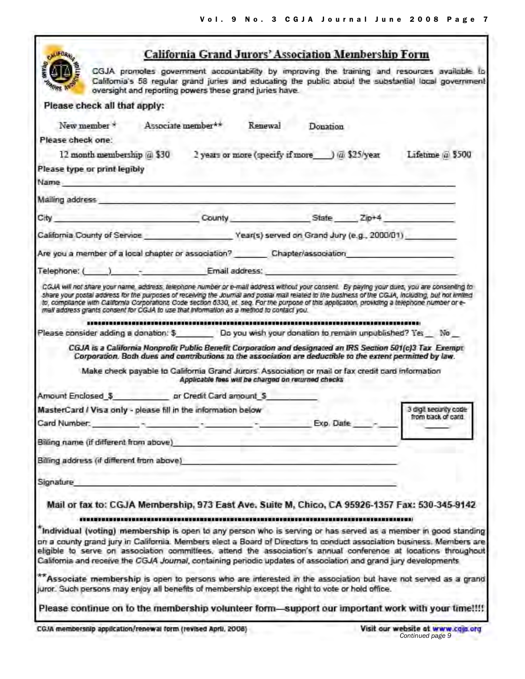<span id="page-6-0"></span>

| <b>CALLFORM</b>                                                                                                                                                                                                                                                                                                                                                                                                                                                                                                                                  | California Grand Jurors' Association Membership Form                            |         |           |                                                                                                                                                                                                      |
|--------------------------------------------------------------------------------------------------------------------------------------------------------------------------------------------------------------------------------------------------------------------------------------------------------------------------------------------------------------------------------------------------------------------------------------------------------------------------------------------------------------------------------------------------|---------------------------------------------------------------------------------|---------|-----------|------------------------------------------------------------------------------------------------------------------------------------------------------------------------------------------------------|
|                                                                                                                                                                                                                                                                                                                                                                                                                                                                                                                                                  | oversight and reporting powers these grand juries have.                         |         |           | CGJA promotes government accountability by improving the training and resources available to<br>California's 58 regular grand juries and educating the public about the substantial local government |
| Please check all that apply:                                                                                                                                                                                                                                                                                                                                                                                                                                                                                                                     |                                                                                 |         |           |                                                                                                                                                                                                      |
| New member *                                                                                                                                                                                                                                                                                                                                                                                                                                                                                                                                     | Associate member**                                                              | Renewal | Donation  |                                                                                                                                                                                                      |
| Please check one:                                                                                                                                                                                                                                                                                                                                                                                                                                                                                                                                |                                                                                 |         |           |                                                                                                                                                                                                      |
| 12 month membership @ \$30 2 years or more (specify if more ) @ \$25/year                                                                                                                                                                                                                                                                                                                                                                                                                                                                        |                                                                                 |         |           | Lifetime @ \$500                                                                                                                                                                                     |
| Please type or print legibly                                                                                                                                                                                                                                                                                                                                                                                                                                                                                                                     |                                                                                 |         |           |                                                                                                                                                                                                      |
| Name. The contract of the contract of the contract of the contract of the contract of the contract of the contract of the contract of the contract of the contract of the contract of the contract of the contract of the cont                                                                                                                                                                                                                                                                                                                   |                                                                                 |         |           |                                                                                                                                                                                                      |
| Mailing address and the contract of the contract of the contract of the contract of the contract of the contract of the contract of the contract of the contract of the contract of the contract of the contract of the contra                                                                                                                                                                                                                                                                                                                   |                                                                                 |         |           |                                                                                                                                                                                                      |
| City County County State Zip+4                                                                                                                                                                                                                                                                                                                                                                                                                                                                                                                   |                                                                                 |         |           |                                                                                                                                                                                                      |
| California County of Service Vear(s) served on Grand Jury (e.g., 2000/01)                                                                                                                                                                                                                                                                                                                                                                                                                                                                        |                                                                                 |         |           |                                                                                                                                                                                                      |
| Are you a member of a local chapter or association? Chapter/association                                                                                                                                                                                                                                                                                                                                                                                                                                                                          |                                                                                 |         |           |                                                                                                                                                                                                      |
| Telephone: ( ) - Email address:                                                                                                                                                                                                                                                                                                                                                                                                                                                                                                                  |                                                                                 |         |           |                                                                                                                                                                                                      |
| CGJA will not share your name, address, telephone number or e-mail address without your consent. By paying your dues, you are consenting to<br>share your postal address for the purposes of receiving the Journal and postal mail related to the business of the CGJA, including, but not limited<br>to, compilance with California Corporations Code section 6330, et seq. For the purpose of this application, providing a telephone number or e-<br>mall address grants consent for CGJA to use that Information as a method to contact you. |                                                                                 |         |           |                                                                                                                                                                                                      |
| Please consider adding a donation: \$ Do you wish your donation to remain unpublished? Yes No                                                                                                                                                                                                                                                                                                                                                                                                                                                    |                                                                                 |         |           |                                                                                                                                                                                                      |
| CGJA is a California Nonprofit Public Benefit Corporation and designated an IRS Section 501(c)3 Tax Exempt<br>Corporation. Both dues and contributions to the association are deductible to the extent permitted by law.                                                                                                                                                                                                                                                                                                                         |                                                                                 |         |           |                                                                                                                                                                                                      |
| Make check payable to California Grand Jurors' Association or mail or fax credit card information                                                                                                                                                                                                                                                                                                                                                                                                                                                | Applicable faes will be charged on returned checks                              |         |           |                                                                                                                                                                                                      |
| Amount Enclosed \$ pr Credit Card amount \$                                                                                                                                                                                                                                                                                                                                                                                                                                                                                                      |                                                                                 |         |           |                                                                                                                                                                                                      |
| MasterCard / Visa only - please fill in the information below                                                                                                                                                                                                                                                                                                                                                                                                                                                                                    |                                                                                 |         |           | 3 digit security code<br>from back of card                                                                                                                                                           |
| Card Number:                                                                                                                                                                                                                                                                                                                                                                                                                                                                                                                                     | the contract of the contract of the contract of the contract of the contract of |         | Exp. Date |                                                                                                                                                                                                      |
| Billing name (if different from above)                                                                                                                                                                                                                                                                                                                                                                                                                                                                                                           |                                                                                 |         |           |                                                                                                                                                                                                      |
| Billing address (if different from above)                                                                                                                                                                                                                                                                                                                                                                                                                                                                                                        |                                                                                 |         |           |                                                                                                                                                                                                      |
| Signature                                                                                                                                                                                                                                                                                                                                                                                                                                                                                                                                        |                                                                                 |         |           |                                                                                                                                                                                                      |
| Mail or fax to: CGJA Membership, 973 East Ave. Suite M, Chico, CA 95926-1357 Fax: 530-345-9142                                                                                                                                                                                                                                                                                                                                                                                                                                                   |                                                                                 |         |           |                                                                                                                                                                                                      |
| Individual (voting) membership is open to any person who is serving or has served as a member in good standing<br>on a county grand jury in California. Members elect a Board of Directors to conduct association business. Members are<br>eligible to serve on association committees, attend the association's annual conference at locations throughout<br>California and receive the CGJA Journal, containing periodic updates of association and grand jury developments                                                                    |                                                                                 |         |           |                                                                                                                                                                                                      |
| ** Associate membership is open to persons who are interested in the association but have not served as a grand<br>juror. Such persons may enjoy all benefits of membership except the right to vote or hold office.                                                                                                                                                                                                                                                                                                                             |                                                                                 |         |           |                                                                                                                                                                                                      |
| Please continue on to the membership volunteer form—support our important work with your time!!!!                                                                                                                                                                                                                                                                                                                                                                                                                                                |                                                                                 |         |           |                                                                                                                                                                                                      |
| CGJA membership application/renewal form (revised April, 2008)                                                                                                                                                                                                                                                                                                                                                                                                                                                                                   |                                                                                 |         |           | Visit our website at www.caja.org<br>Continued page 9                                                                                                                                                |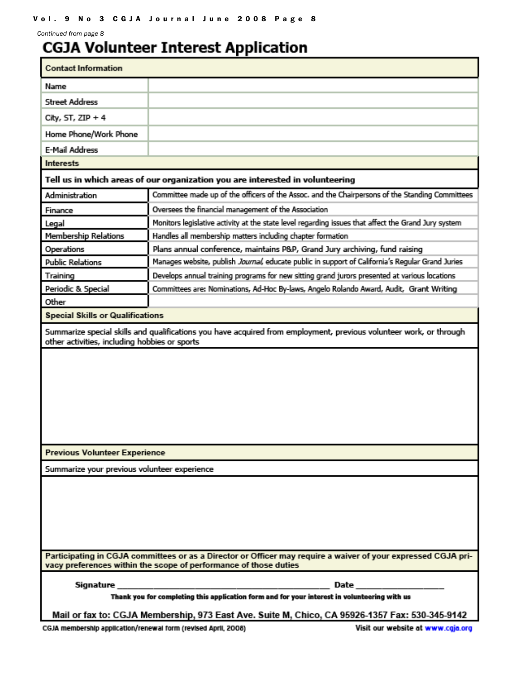*Continued from page 8* 

# **CGJA Volunteer Interest Application**

| <b>Contact Information</b>                                                                                                                                                        |                                                                                                     |  |  |  |
|-----------------------------------------------------------------------------------------------------------------------------------------------------------------------------------|-----------------------------------------------------------------------------------------------------|--|--|--|
| Name                                                                                                                                                                              |                                                                                                     |  |  |  |
| <b>Street Address</b>                                                                                                                                                             |                                                                                                     |  |  |  |
| City, ST, $ZIP + 4$                                                                                                                                                               |                                                                                                     |  |  |  |
| Home Phone/Work Phone                                                                                                                                                             |                                                                                                     |  |  |  |
| E-Mail Address                                                                                                                                                                    |                                                                                                     |  |  |  |
| <b>Interests</b>                                                                                                                                                                  |                                                                                                     |  |  |  |
| Tell us in which areas of our organization you are interested in volunteering                                                                                                     |                                                                                                     |  |  |  |
| Administration                                                                                                                                                                    | Committee made up of the officers of the Assoc. and the Chairpersons of the Standing Committees     |  |  |  |
| Finance                                                                                                                                                                           | Oversees the financial management of the Association                                                |  |  |  |
| Legal                                                                                                                                                                             | Monitors legislative activity at the state level regarding issues that affect the Grand Jury system |  |  |  |
| <b>Membership Relations</b>                                                                                                                                                       | Handles all membership matters including chapter formation                                          |  |  |  |
| Operations                                                                                                                                                                        | Plans annual conference, maintains P&P, Grand Jury archiving, fund raising                          |  |  |  |
| <b>Public Relations</b>                                                                                                                                                           | Manages website, publish Journal, educate public in support of California's Regular Grand Juries    |  |  |  |
| Training                                                                                                                                                                          | Develops annual training programs for new sitting grand jurors presented at various locations       |  |  |  |
| Periodic & Special                                                                                                                                                                | Committees are: Nominations, Ad-Hoc By-laws, Angelo Rolando Award, Audit, Grant Writing             |  |  |  |
| Other                                                                                                                                                                             |                                                                                                     |  |  |  |
| <b>Special Skills or Qualifications</b>                                                                                                                                           |                                                                                                     |  |  |  |
| Summarize special skills and qualifications you have acquired from employment, previous volunteer work, or through<br>other activities, including hobbies or sports               |                                                                                                     |  |  |  |
| <b>Previous Volunteer Experience</b>                                                                                                                                              |                                                                                                     |  |  |  |
| Summarize your previous volunteer experience                                                                                                                                      |                                                                                                     |  |  |  |
|                                                                                                                                                                                   |                                                                                                     |  |  |  |
| Participating in CGJA committees or as a Director or Officer may require a waiver of your expressed CGJA pri-<br>vacy preferences within the scope of performance of those duties |                                                                                                     |  |  |  |
| Signature                                                                                                                                                                         | Date                                                                                                |  |  |  |
| Thank you for completing this application form and for your interest in volunteering with us                                                                                      |                                                                                                     |  |  |  |
| Mail or fax to: CGJA Membership, 973 East Ave. Suite M, Chico, CA 95926-1357 Fax: 530-345-9142                                                                                    |                                                                                                     |  |  |  |

CGJA membership application/renewal form (revised April, 2008)

Visit our website at www.cgja.org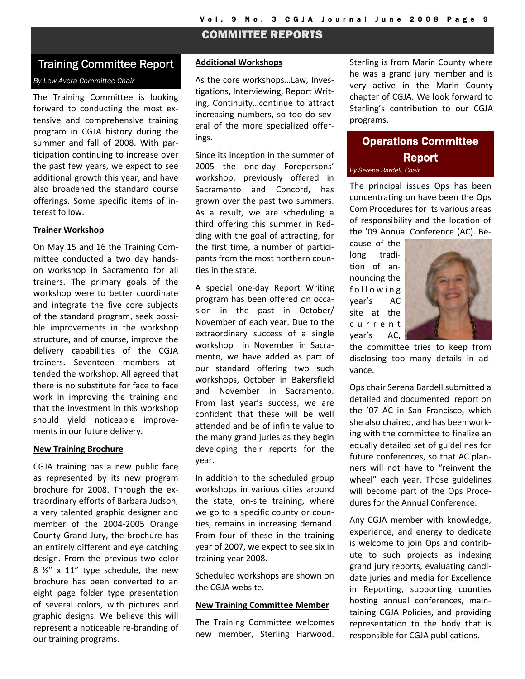## COMMITTEE REPORTS

## Training Committee Report

#### *By Lew Avera Committee Chair*

The Training Committee is looking forward to conducting the most ex‐ tensive and comprehensive training program in CGJA history during the summer and fall of 2008. With par‐ ticipation continuing to increase over the past few years, we expect to see additional growth this year, and have also broadened the standard course offerings. Some specific items of in‐ terest follow.

#### **Trainer Workshop**

On May 15 and 16 the Training Com‐ mittee conducted a two day hands‐ on workshop in Sacramento for all trainers. The primary goals of the workshop were to better coordinate and integrate the five core subjects of the standard program, seek possi‐ ble improvements in the workshop structure, and of course, improve the delivery capabilities of the CGJA trainers. Seventeen members at‐ tended the workshop. All agreed that there is no substitute for face to face work in improving the training and that the investment in this workshop should yield noticeable improve‐ ments in our future delivery.

#### **New Training Brochure**

CGJA training has a new public face as represented by its new program brochure for 2008. Through the ex‐ traordinary efforts of Barbara Judson, a very talented graphic designer and member of the 2004‐2005 Orange County Grand Jury, the brochure has an entirely different and eye catching design. From the previous two color  $8 \frac{1}{2}$  x 11" type schedule, the new brochure has been converted to an eight page folder type presentation of several colors, with pictures and graphic designs. We believe this will represent a noticeable re‐branding of our training programs.

#### **Additional Workshops**

As the core workshops…Law, Inves‐ tigations, Interviewing, Report Writ‐ ing, Continuity…continue to attract increasing numbers, so too do sev‐ eral of the more specialized offer‐ ings.

Since its inception in the summer of 2005 the one‐day Forepersons' workshop, previously offered in Sacramento and Concord, has grown over the past two summers. As a result, we are scheduling a third offering this summer in Red‐ ding with the goal of attracting, for the first time, a number of partici‐ pants from the most northern coun‐ ties in the state.

A special one‐day Report Writing program has been offered on occa‐ sion in the past in October/ November of each year. Due to the extraordinary success of a single workshop in November in Sacramento, we have added as part of our standard offering two such workshops, October in Bakersfield and November in Sacramento. From last year's success, we are confident that these will be well attended and be of infinite value to the many grand juries as they begin developing their reports for the year.

In addition to the scheduled group workshops in various cities around the state, on‐site training, where we go to a specific county or counties, remains in increasing demand. From four of these in the training year of 2007, we expect to see six in training year 2008.

Scheduled workshops are shown on the CGJA website.

#### **New Training Committee Member**

The Training Committee welcomes new member, Sterling Harwood. Sterling is from Marin County where he was a grand jury member and is very active in the Marin County chapter of CGJA. We look forward to Sterling's contribution to our CGJA programs.

# Operations Committee Report

*By Serena Bardell, Chair* 

The principal issues Ops has been concentrating on have been the Ops Com Procedures for its various areas of responsibility and the location of the '09 Annual Conference (AC). Be‐

cause of the long tradi‐ tion of an‐ nouncing the following year's AC site at the current year's AC,



the committee tries to keep from disclosing too many details in ad‐ vance.

Ops chair Serena Bardell submitted a detailed and documented report on the '07 AC in San Francisco, which she also chaired, and has been work‐ ing with the committee to finalize an equally detailed set of guidelines for future conferences, so that AC plan‐ ners will not have to "reinvent the wheel" each year. Those guidelines will become part of the Ops Proce‐ dures for the Annual Conference.

Any CGJA member with knowledge, experience, and energy to dedicate is welcome to join Ops and contrib‐ ute to such projects as indexing grand jury reports, evaluating candi‐ date juries and media for Excellence in Reporting, supporting counties hosting annual conferences, main‐ taining CGJA Policies, and providing representation to the body that is responsible for CGJA publications.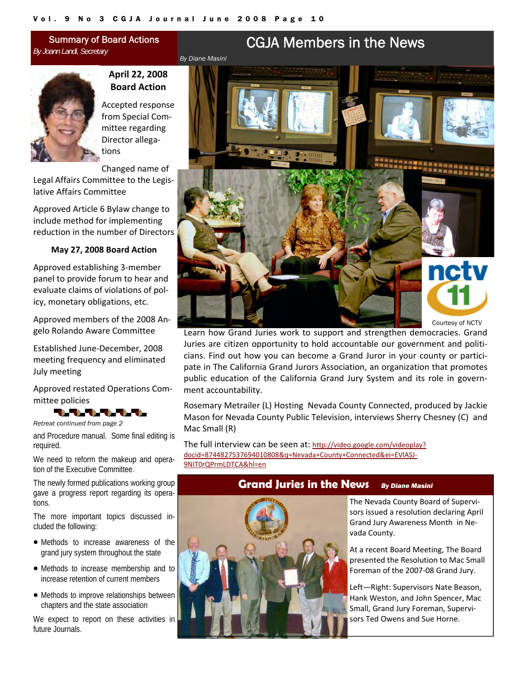<span id="page-9-0"></span>Summary of Board Actions *By Joann Landi, Secretary* 



## **April 22, 2008 Board Action**

Accepted response from Special Com‐ mittee regarding Director allega‐ tions

Changed name of Legal Affairs Committee to the Legis‐ lative Affairs Committee

Approved Article 6 Bylaw change to include method for implementing reduction in the number of Directors

#### **May 27, 2008 Board Action**

Approved establishing 3‐member panel to provide forum to hear and evaluate claims of violations of pol‐ icy, monetary obligations, etc.

Approved members of the 2008 An‐ gelo Rolando Aware Committee

Established June‐December, 2008 meeting frequency and eliminated July meeting

Approved restated Operations Com‐ mittee policies



*Retreat continued from page 2* 

and Procedure manual. Some final editing is required.

We need to reform the makeup and operation of the Executive Committee.

The newly formed publications working group gave a progress report regarding its operations.

The more important topics discussed included the following:

- Methods to increase awareness of the grand jury system throughout the state
- Methods to increase membership and to increase retention of current members
- Methods to improve relationships between chapters and the state association

We expect to report on these activities in future Journals.



Learn how Grand Juries work to support and strengthen democracies. Grand Juries are citizen opportunity to hold accountable our government and politi‐ cians. Find out how you can become a Grand Juror in your county or partici‐ pate in The California Grand Jurors Association, an organization that promotes public education of the California Grand Jury System and its role in govern‐ ment accountability.

Rosemary Metrailer (L) Hosting Nevada County Connected, produced by Jackie Mason for Nevada County Public Television, interviews Sherry Chesney (C) and Mac Small (R)

The full interview can be seen at: http://video.google.com/videoplay? docid=8744827537694010808&q=Nevada+County+Connected&ei=EVlASJ‐ 9NIT0rQPrmLDTCA&hl=en

## **Grand Juries in the News** *By Diane Masini*



The Nevada County Board of Supervi‐ sors issued a resolution declaring April Grand Jury Awareness Month in Ne‐ vada County.

At a recent Board Meeting, The Board presented the Resolution to Mac Small Foreman of the 2007‐08 Grand Jury.

Left—Right: Supervisors Nate Beason, Hank Weston, and John Spencer, Mac Small, Grand Jury Foreman, Supervi‐ sors Ted Owens and Sue Horne.

# CGJA Members in the News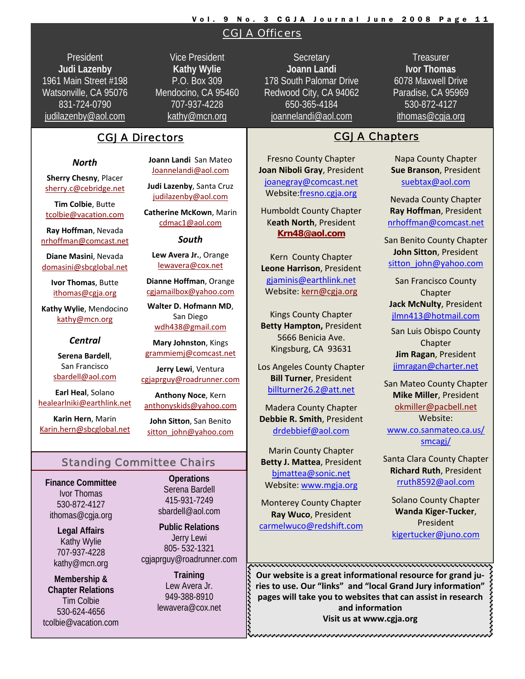#### Vol. 9 No. 3 CGJA Journal June 2008 Page 11

## CGJA Officers

President **Judi Lazenby** 1961 Main Street #198 Watsonville, CA 95076 831-724-0790 judilazenby@aol.com

Vice President **Kathy Wylie** P.O. Box 309 Mendocino, CA 95460 707-937-4228 kathy@mcn.org

## CGJA Directors **CGJA Chapters**

#### *North*

**Sherry Chesny**, Placer sherry.c@cebridge.net

**Tim Colbie**, Butte tcolbie@vacation.com

**Ray Hoffman**, Nevada nrhoffman@comcast.net

**Diane Masini**, Nevada domasini@sbcglobal.net

> **Ivor Thomas**, Butte ithomas@cgja.org

**Kathy Wylie**, Mendocino kathy@mcn.org

#### *Central*

**Serena Bardell**, San Francisco sbardell@aol.com

**Earl Heal**, Solano healearlniki@earthlink.net

**Karin Hern**, Marin Karin.hern@sbcglobal.net **Joann Landi** San Mateo Joannelandi@aol.com

**Judi Lazenby**, Santa Cruz judilazenby@aol.com

**Catherine McKown**, Marin cdmac1@aol.com

*South*

**Lew Avera Jr.**, Orange lewavera@cox.net

**Dianne Hoffman**, Orange cgjamailbox@yahoo.com

**Walter D. Hofmann MD**, San Diego wdh438@gmail.com

**Mary Johnston**, Kings grammiemj@comcast.net

**Jerry Lewi**, Ventura cgjaprguy@roadrunner.com

**Anthony Noce**, Kern anthonyskids@yahoo.com

**John Sitton**, San Benito sitton\_john@yahoo.com

### Standing Committee Chairs

**Finance Committee**  Ivor Thomas 530-872-4127 ithomas@cgja.org

> **Legal Affairs**  Kathy Wylie 707-937-4228 kathy@mcn.org

**Membership & Chapter Relations**  Tim Colbie 530-624-4656 tcolbie@vacation.com

**Operations**  Serena Bardell 415-931-7249 sbardell@aol.com

**Public Relations**  Jerry Lewi 805- 532-1321 cgjaprguy@roadrunner.com

> **Training**  Lew Avera Jr. 949-388-8910 lewavera@cox.net

**Secretary Joann Landi** 178 South Palomar Drive Redwood City, CA 94062 650-365-4184 joannelandi@aol.com

**Treasurer Ivor Thomas** 6078 Maxwell Drive Paradise, CA 95969 530-872-4127 ithomas@cgja.org

Fresno County Chapter **Joan Niboli Gray**, President joanegray@comcast.net Website:fresno.cgja.org

Humboldt County Chapter K**eath North**, President **Krn48@aol.com**

Kern County Chapter **Leone Harrison**, President gjaminis@earthlink.net Website: kern@cgja.org

Kings County Chapter **Betty Hampton,** President 5666 Benicia Ave. Kingsburg, CA 93631

Los Angeles County Chapter **Bill Turner**, President billturner26.2@att.net

Madera County Chapter **Debbie R. Smith**, President drdebbief@aol.com

Marin County Chapter **Betty J. Mattea**, President bjmattea@sonic.net Website: www.mgja.org

Monterey County Chapter **Ray Wuco**, President carmelwuco@redshift.com

Napa County Chapter **Sue Branson**, President suebtax@aol.com

Nevada County Chapter **Ray Hoffman**, President nrhoffman@comcast.net

San Benito County Chapter **John Sitton**, President sitton\_john@yahoo.com

San Francisco County Chapter **Jack McNulty**, President jlmn413@hotmail.com

San Luis Obispo County Chapter **Jim Ragan**, President jimragan@charter.net

San Mateo County Chapter **Mike Miller**, President okmiller@pacbell.net Website: www.co.sanmateo.ca.us/ smcagj/

Santa Clara County Chapter **Richard Ruth**, President rruth8592@aol.com

Solano County Chapter **Wanda Kiger‐Tucker**, President kigertucker@juno.com

**Our website is a great informational resource for grand ju‐ ries to use. Our "links" and "local Grand Jury information" pages** will take you to websites that can assist in research pages will take you to websites that can assist in research  $\leftarrow$  and information **and information Visit us at www.cgja.org**